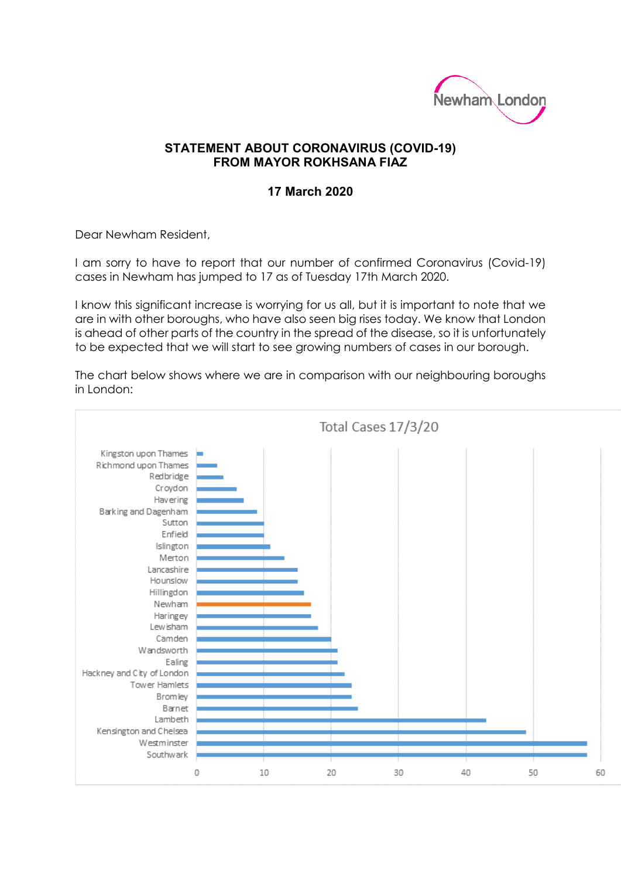

## **STATEMENT ABOUT CORONAVIRUS (COVID-19) FROM MAYOR ROKHSANA FIAZ**

## **17 March 2020**

Dear Newham Resident,

I am sorry to have to report that our number of confirmed Coronavirus (Covid-19) cases in Newham has jumped to 17 as of Tuesday 17th March 2020.

I know this significant increase is worrying for us all, but it is important to note that we are in with other boroughs, who have also seen big rises today. We know that London is ahead of other parts of the country in the spread of the disease, so it is unfortunately to be expected that we will start to see growing numbers of cases in our borough.

The chart below shows where we are in comparison with our neighbouring boroughs in London: